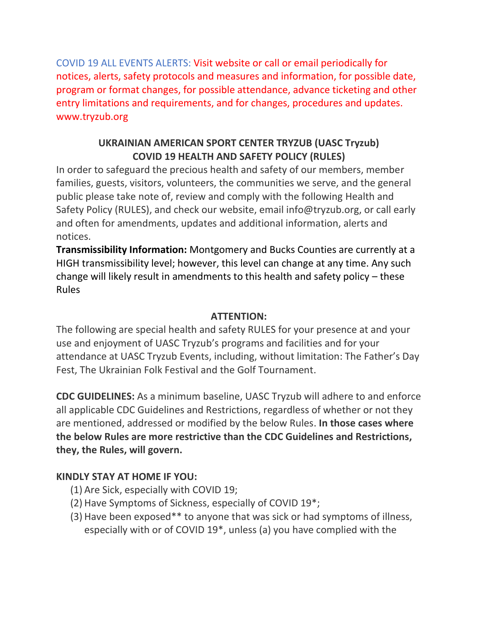COVID 19 ALL EVENTS ALERTS: Visit website or call or email periodically for notices, alerts, safety protocols and measures and information, for possible date, program or format changes, for possible attendance, advance ticketing and other entry limitations and requirements, and for changes, procedures and updates. www.tryzub.org

# **UKRAINIAN AMERICAN SPORT CENTER TRYZUB (UASC Tryzub) COVID 19 HEALTH AND SAFETY POLICY (RULES)**

In order to safeguard the precious health and safety of our members, member families, guests, visitors, volunteers, the communities we serve, and the general public please take note of, review and comply with the following Health and Safety Policy (RULES), and check our website, email info@tryzub.org, or call early and often for amendments, updates and additional information, alerts and notices.

**Transmissibility Information:** Montgomery and Bucks Counties are currently at a HIGH transmissibility level; however, this level can change at any time. Any such change will likely result in amendments to this health and safety policy – these Rules

### **ATTENTION:**

The following are special health and safety RULES for your presence at and your use and enjoyment of UASC Tryzub's programs and facilities and for your attendance at UASC Tryzub Events, including, without limitation: The Father's Day Fest, The Ukrainian Folk Festival and the Golf Tournament.

**CDC GUIDELINES:** As a minimum baseline, UASC Tryzub will adhere to and enforce all applicable CDC Guidelines and Restrictions, regardless of whether or not they are mentioned, addressed or modified by the below Rules. **In those cases where the below Rules are more restrictive than the CDC Guidelines and Restrictions, they, the Rules, will govern.**

## **KINDLY STAY AT HOME IF YOU:**

- (1) Are Sick, especially with COVID 19;
- (2) Have Symptoms of Sickness, especially of COVID 19\*;
- (3) Have been exposed\*\* to anyone that was sick or had symptoms of illness, especially with or of COVID 19\*, unless (a) you have complied with the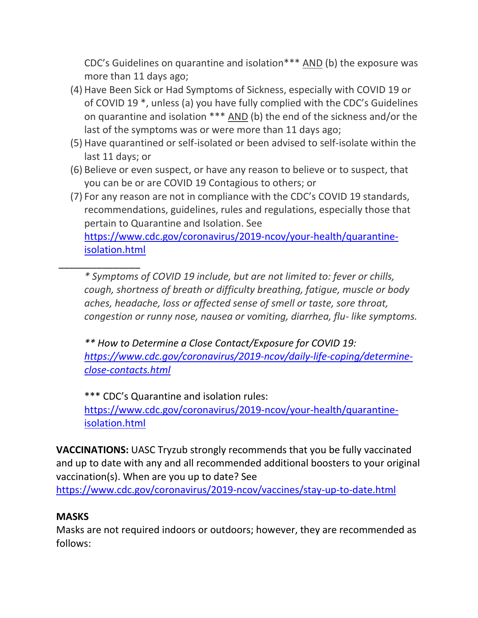CDC's Guidelines on quarantine and isolation\*\*\* AND (b) the exposure was more than 11 days ago;

- (4) Have Been Sick or Had Symptoms of Sickness, especially with COVID 19 or of COVID 19 \*, unless (a) you have fully complied with the CDC's Guidelines on quarantine and isolation \*\*\* AND (b) the end of the sickness and/or the last of the symptoms was or were more than 11 days ago;
- (5) Have quarantined or self-isolated or been advised to self-isolate within the last 11 days; or
- (6) Believe or even suspect, or have any reason to believe or to suspect, that you can be or are COVID 19 Contagious to others; or
- (7) For any reason are not in compliance with the CDC's COVID 19 standards, recommendations, guidelines, rules and regulations, especially those that pertain to Quarantine and Isolation. See [https://www.cdc.gov/coronavirus/2019-ncov/your-health/quarantine](https://www.cdc.gov/coronavirus/2019-ncov/your-health/quarantine-isolation.html)[isolation.html](https://www.cdc.gov/coronavirus/2019-ncov/your-health/quarantine-isolation.html)

\_\_\_\_\_\_\_\_\_\_\_\_\_\_\_ *\* Symptoms of COVID 19 include, but are not limited to: fever or chills, cough, shortness of breath or difficulty breathing, fatigue, muscle or body aches, headache, loss or affected sense of smell or taste, sore throat, congestion or runny nose, nausea or vomiting, diarrhea, flu- like symptoms.*

*\*\* How to Determine a Close Contact/Exposure for COVID 19: [https://www.cdc.gov/coronavirus/2019-ncov/daily-life-coping/determine](https://www.cdc.gov/coronavirus/2019-ncov/daily-life-coping/determine-close-contacts.html)[close-contacts.html](https://www.cdc.gov/coronavirus/2019-ncov/daily-life-coping/determine-close-contacts.html)*

\*\*\* CDC's Quarantine and isolation rules: [https://www.cdc.gov/coronavirus/2019-ncov/your-health/quarantine](https://www.cdc.gov/coronavirus/2019-ncov/your-health/quarantine-isolation.html)[isolation.html](https://www.cdc.gov/coronavirus/2019-ncov/your-health/quarantine-isolation.html)

**VACCINATIONS:** UASC Tryzub strongly recommends that you be fully vaccinated and up to date with any and all recommended additional boosters to your original vaccination(s). When are you up to date? See

<https://www.cdc.gov/coronavirus/2019-ncov/vaccines/stay-up-to-date.html>

## **MASKS**

Masks are not required indoors or outdoors; however, they are recommended as follows: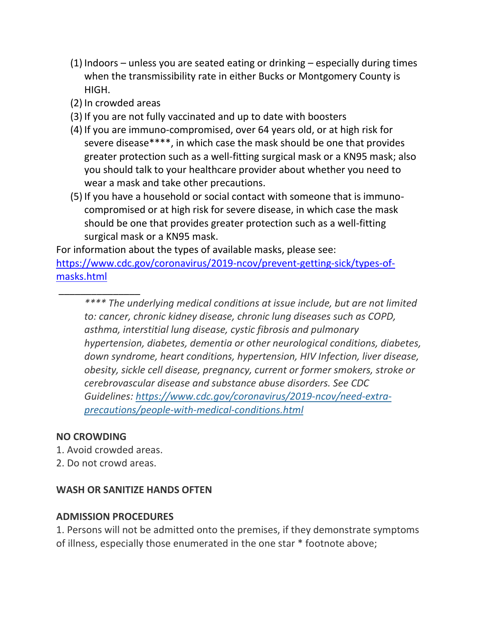- (1) Indoors unless you are seated eating or drinking especially during times when the transmissibility rate in either Bucks or Montgomery County is HIGH.
- (2) In crowded areas
- (3) If you are not fully vaccinated and up to date with boosters
- (4) If you are immuno-compromised, over 64 years old, or at high risk for severe disease\*\*\*\*, in which case the mask should be one that provides greater protection such as a well-fitting surgical mask or a KN95 mask; also you should talk to your healthcare provider about whether you need to wear a mask and take other precautions.
- (5) If you have a household or social contact with someone that is immunocompromised or at high risk for severe disease, in which case the mask should be one that provides greater protection such as a well-fitting surgical mask or a KN95 mask.

For information about the types of available masks, please see: [https://www.cdc.gov/coronavirus/2019-ncov/prevent-getting-sick/types-of](https://www.cdc.gov/coronavirus/2019-ncov/prevent-getting-sick/types-of-masks.html)[masks.html](https://www.cdc.gov/coronavirus/2019-ncov/prevent-getting-sick/types-of-masks.html)

*\*\*\*\* The underlying medical conditions at issue include, but are not limited to: cancer, chronic kidney disease, chronic lung diseases such as COPD, asthma, interstitial lung disease, cystic fibrosis and pulmonary hypertension, diabetes, dementia or other neurological conditions, diabetes, down syndrome, heart conditions, hypertension, HIV Infection, liver disease, obesity, sickle cell disease, pregnancy, current or former smokers, stroke or cerebrovascular disease and substance abuse disorders. See CDC Guidelines: [https://www.cdc.gov/coronavirus/2019-ncov/need-extra](https://www.cdc.gov/coronavirus/2019-ncov/need-extra-precautions/people-with-medical-conditions.html)[precautions/people-with-medical-conditions.html](https://www.cdc.gov/coronavirus/2019-ncov/need-extra-precautions/people-with-medical-conditions.html)*

## **NO CROWDING**

\_\_\_\_\_\_\_\_\_\_\_\_\_\_\_

- 1. Avoid crowded areas.
- 2. Do not crowd areas.

#### **WASH OR SANITIZE HANDS OFTEN**

#### **ADMISSION PROCEDURES**

1. Persons will not be admitted onto the premises, if they demonstrate symptoms of illness, especially those enumerated in the one star \* footnote above;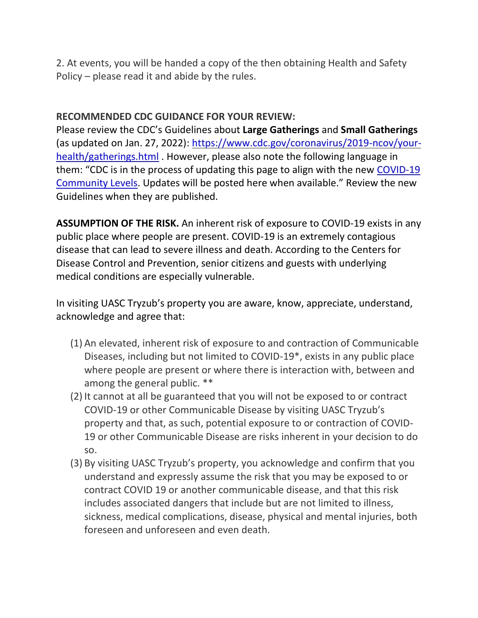2. At events, you will be handed a copy of the then obtaining Health and Safety Policy – please read it and abide by the rules.

#### **RECOMMENDED CDC GUIDANCE FOR YOUR REVIEW:**

Please review the CDC's Guidelines about **Large Gatherings** and **Small Gatherings** (as updated on Jan. 27, 2022): [https://www.cdc.gov/coronavirus/2019-ncov/your](https://www.cdc.gov/coronavirus/2019-ncov/your-health/gatherings.html)[health/gatherings.html](https://www.cdc.gov/coronavirus/2019-ncov/your-health/gatherings.html) . However, please also note the following language in them: "CDC is in the process of updating this page to align with the new [COVID-19](https://www.cdc.gov/coronavirus/2019-ncov/your-health/covid-by-county.html)  [Community Levels](https://www.cdc.gov/coronavirus/2019-ncov/your-health/covid-by-county.html). Updates will be posted here when available." Review the new Guidelines when they are published.

**ASSUMPTION OF THE RISK.** An inherent risk of exposure to COVID-19 exists in any public place where people are present. COVID-19 is an extremely contagious disease that can lead to severe illness and death. According to the Centers for Disease Control and Prevention, senior citizens and guests with underlying medical conditions are especially vulnerable.

In visiting UASC Tryzub's property you are aware, know, appreciate, understand, acknowledge and agree that:

- (1) An elevated, inherent risk of exposure to and contraction of Communicable Diseases, including but not limited to COVID-19\*, exists in any public place where people are present or where there is interaction with, between and among the general public. \*\*
- (2) It cannot at all be guaranteed that you will not be exposed to or contract COVID-19 or other Communicable Disease by visiting UASC Tryzub's property and that, as such, potential exposure to or contraction of COVID-19 or other Communicable Disease are risks inherent in your decision to do so.
- (3) By visiting UASC Tryzub's property, you acknowledge and confirm that you understand and expressly assume the risk that you may be exposed to or contract COVID 19 or another communicable disease, and that this risk includes associated dangers that include but are not limited to illness, sickness, medical complications, disease, physical and mental injuries, both foreseen and unforeseen and even death.